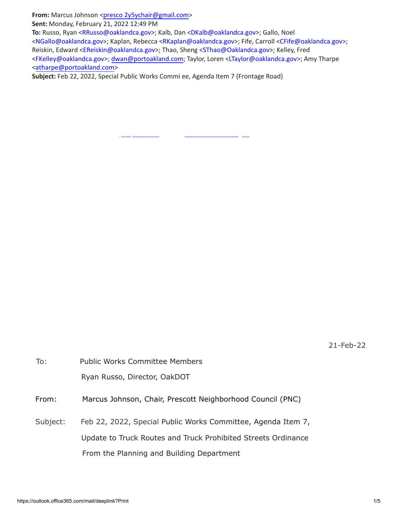From: Marcus Johnson <[presco 2y5ychair@gmail.com>](mailto:prescott2y5ychair@gmail.com)

**Sent:** Monday, February 21, 2022 12:49 PM

**To:** Russo, Ryan [<RRusso@oaklandca.gov](mailto:RRusso@oaklandca.gov)>; Kalb, Dan <[DKalb@oaklandca.gov>](mailto:DKalb@oaklandca.gov); Gallo, Noel <[NGallo@oaklandca.gov>](mailto:NGallo@oaklandca.gov); Kaplan, Rebecca [<RKaplan@oaklandca.gov>](mailto:RKaplan@oaklandca.gov); Fife, Carroll <[CFife@oaklandca.gov>](mailto:CFife@oaklandca.gov); Reiskin, Edward <[EReiskin@oaklandca.gov>](mailto:EReiskin@oaklandca.gov); Thao, Sheng [<SThao@Oaklandca.gov>](mailto:SThao@Oaklandca.gov); Kelley, Fred <[FKelley@oaklandca.gov](mailto:FKelley@oaklandca.gov)>; [dwan@portoakland.com](mailto:dwan@portoakland.com); Taylor, Loren [<LTaylor@oaklandca.gov>](mailto:LTaylor@oaklandca.gov); Amy Tharpe <[atharpe@portoakland.com](mailto:atharpe@portoakland.com)>

**Subject:** Feb 22, 2022, Special Public Works Commi ee, Agenda Item 7 (Frontage Road)

21-Feb-22

| To:      | <b>Public Works Committee Members</b>                         |
|----------|---------------------------------------------------------------|
|          | Ryan Russo, Director, OakDOT                                  |
| From:    | Marcus Johnson, Chair, Prescott Neighborhood Council (PNC)    |
| Subject: | Feb 22, 2022, Special Public Works Committee, Agenda Item 7,  |
|          | Update to Truck Routes and Truck Prohibited Streets Ordinance |
|          | From the Planning and Building Department                     |
|          |                                                               |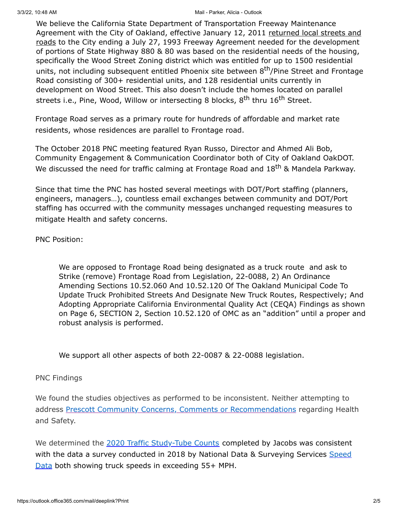#### 3/3/22, 10:48 AM Mail - Parker, Alicia - Outlook

We believe the California State Department of Transportation Freeway Maintenance Agreement with the City of Oakland, effective January 12, 2011 returned local streets and roads to the City ending a July 27, 1993 Freeway Agreement needed for the development of portions of State Highway 880 & 80 was based on the residential needs of the housing, specifically the Wood Street Zoning district which was entitled for up to 1500 residential units, not including subsequent entitled Phoenix site between 8<sup>th</sup>/Pine Street and Frontage Road consisting of 300+ residential units, and 128 residential units currently in development on Wood Street. This also doesn't include the homes located on parallel streets i.e., Pine, Wood, Willow or intersecting 8 blocks, 8<sup>th</sup> thru 16<sup>th</sup> Street.

Frontage Road serves as a primary route for hundreds of affordable and market rate residents, whose residences are parallel to Frontage road.

The October 2018 PNC meeting featured Ryan Russo, Director and Ahmed Ali Bob, Community Engagement & Communication Coordinator both of City of Oakland OakDOT. We discussed the need for traffic calming at Frontage Road and 18<sup>th</sup> & Mandela Parkway.

Since that time the PNC has hosted several meetings with DOT/Port staffing (planners, engineers, managers…), countless email exchanges between community and DOT/Port staffing has occurred with the community messages unchanged requesting measures to mitigate Health and safety concerns.

# PNC Position:

We are opposed to Frontage Road being designated as a truck route and ask to Strike (remove) Frontage Road from Legislation, 22-0088, 2) An Ordinance Amending Sections 10.52.060 And 10.52.120 Of The Oakland Municipal Code To Update Truck Prohibited Streets And Designate New Truck Routes, Respectively; And Adopting Appropriate California Environmental Quality Act (CEQA) Findings as shown on Page 6, SECTION 2, Section 10.52.120 of OMC as an "addition" until a proper and robust analysis is performed.

We support all other aspects of both 22-0087 & 22-0088 legislation.

## PNC Findings

We found the studies objectives as performed to be inconsistent. Neither attempting to address [Prescott Community Concerns, Comments or Recommendations](https://cao-94612.s3.amazonaws.com/documents/2021-10-Prescott-Summary_Public.pdf) regarding Health and Safety.

We determined the [2020 Traffic Study-Tube Counts](https://cao-94612.s3.amazonaws.com/documents/Frontage-Road-Tube-Counts-Combined.pdf) completed by Jacobs was consistent [with the data a survey conducted in 2018 by National Data & Surveying Services Speed](https://sf.streetsblog.org/wp-content/uploads/sites/3/2021/05/Parking-Study-Final-2018.05.15_Station-House-.pdf) Data both showing truck speeds in exceeding 55+ MPH.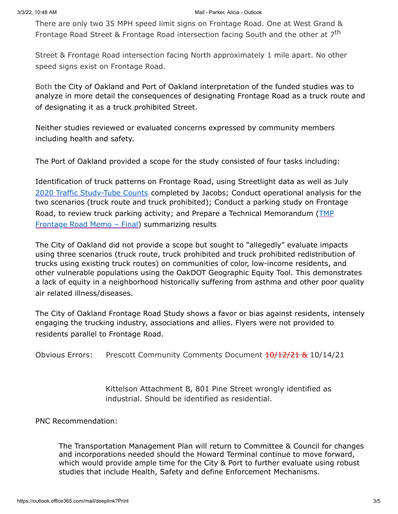There are only two 35 MPH speed limit signs on Frontage Road. One at West Grand & Frontage Road Street & Frontage Road intersection facing South and the other at 7<sup>th</sup>

Street & Frontage Road intersection facing North approximately 1 mile apart. No other speed signs exist on Frontage Road.

Both the City of Oakland and Port of Oakland interpretation of the funded studies was to analyze in more detail the consequences of designating Frontage Road as a truck route and of designating it as a truck prohibited Street.

Neither studies reviewed or evaluated concerns expressed by community members including health and safety.

The Port of Oakland provided a scope for the study consisted of four tasks including:

Identification of truck patterns on Frontage Road, using Streetlight data as well as July 2020 Traffic [Study-Tube](https://cao-94612.s3.amazonaws.com/documents/Frontage-Road-Tube-Counts-Combined.pdf) Counts completed by Jacobs; Conduct operational analysis for the two scenarios (truck route and truck prohibited); Conduct a parking study on Frontage Road, to review truck parking activity; and Prepare a Technical [Memorandum](https://cao-94612.s3.amazonaws.com/documents/TMP-Frontage-Road-Memo_Final-signed_2022-02-09-194640_iceu.pdf) (TMP Frontage Road Memo - Final) summarizing results

The City of Oakland did not provide a scope but sought to "allegedly" evaluate impacts using three scenarios (truck route, truck prohibited and truck prohibited redistribution of trucks using existing truck routes) on communities of color, low-income residents, and other vulnerable populations using the OakDOT Geographic Equity Tool. This demonstrates a lack of equity in a neighborhood historically suffering from asthma and other poor quality air related illness/diseases.

The City of Oakland Frontage Road Study shows a favor or bias against residents, intensely engaging the trucking industry, associations and allies. Flyers were not provided to residents parallel to Frontage Road.

Obvious Errors: Prescott Community Comments Document  $\frac{10}{12}{21}$  & 10/14/21

Kittelson Attachment B, 801 Pine Street wrongly identified as industrial. Should be identified as residential.

PNC Recommendation:

The Transportation Management Plan will return to Committee & Council for changes and incorporations needed should the Howard Terminal continue to move forward, which would provide ample time for the City & Port to further evaluate using robust studies that include Health, Safety and define Enforcement Mechanisms.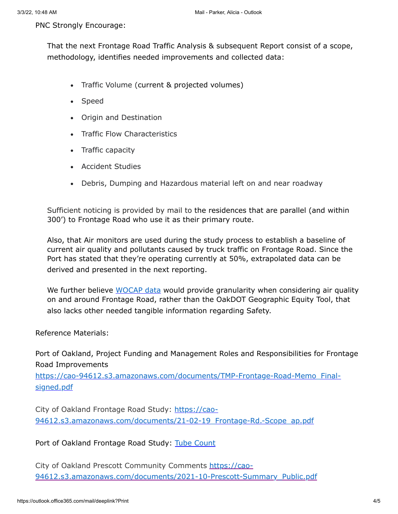### PNC Strongly Encourage:

That the next Frontage Road Traffic Analysis & subsequent Report consist of a scope, methodology, identifies needed improvements and collected data:

- · Traffic Volume (current & projected volumes)
- · Speed
- · Origin and Destination
- · Traffic Flow Characteristics
- · Traffic capacity
- · Accident Studies
- · Debris, Dumping and Hazardous material left on and near roadway

Sufficient noticing is provided by mail to the residences that are parallel (and within 300') to Frontage Road who use it as their primary route.

Also, that Air monitors are used during the study process to establish a baseline of current air quality and pollutants caused by truck traffic on Frontage Road. Since the Port has stated that they're operating currently at 50%, extrapolated data can be derived and presented in the next reporting.

We further believe [WOCAP](https://www.baaqmd.gov/community-health/community-health-protection-program/west-oakland-community-action-plan) data would provide granularity when considering air quality on and around Frontage Road, rather than the OakDOT Geographic Equity Tool, that also lacks other needed tangible information regarding Safety.

Reference Materials:

Port of Oakland, Project Funding and Management Roles and Responsibilities for Frontage Road Improvements

[https://cao-94612.s3.amazonaws.com/documents/TMP-Frontage-Road-Memo\\_Final](https://cao-94612.s3.amazonaws.com/documents/TMP-Frontage-Road-Memo_Final-signed.pdf)signed.pdf

City of Oakland Frontage Road Study: https://cao-[94612.s3.amazonaws.com/documents/21-02-19\\_Frontage-Rd.-Scope\\_ap.pdf](https://cao-94612.s3.amazonaws.com/documents/21-02-19_Frontage-Rd.-Scope_ap.pdf)

Port of Oakland Frontage Road Study: Tube [Count](https://cao-94612.s3.amazonaws.com/documents/Frontage-Road-Tube-Counts-Combined.pdf)

City of Oakland Prescott Community Comments https://cao-[94612.s3.amazonaws.com/documents/2021-10-Prescott-Summary\\_Public.pdf](https://cao-94612.s3.amazonaws.com/documents/2021-10-Prescott-Summary_Public.pdf)